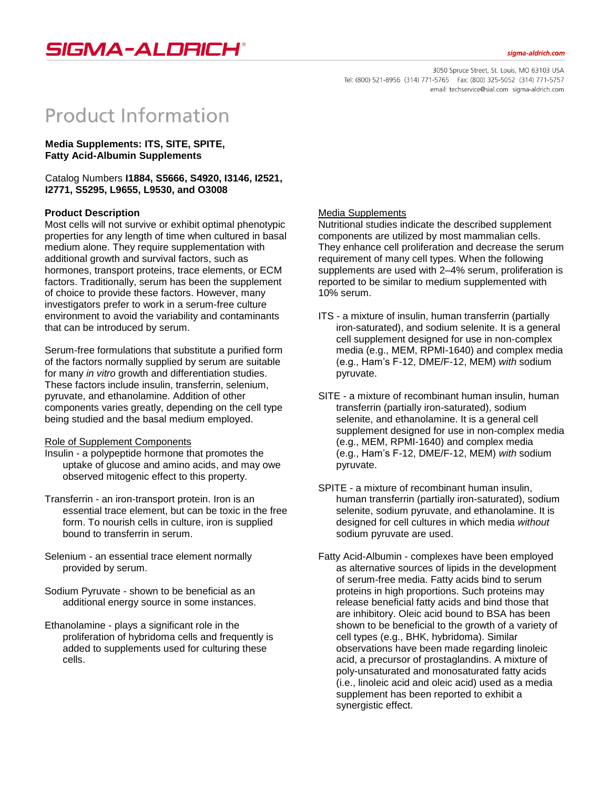

#### siama-aldrich.com

3050 Spruce Street, St. Louis, MO 63103 USA Tel: (800) 521-8956 (314) 771-5765 Fax: (800) 325-5052 (314) 771-5757 email: techservice@sial.com sigma-aldrich.com

# **Product Information**

**Media Supplements: ITS, SITE, SPITE, Fatty Acid-Albumin Supplements**

Catalog Numbers **I1884, S5666, S4920, I3146, I2521, I2771, S5295, L9655, L9530, and O3008**

### **Product Description**

Most cells will not survive or exhibit optimal phenotypic properties for any length of time when cultured in basal medium alone. They require supplementation with additional growth and survival factors, such as hormones, transport proteins, trace elements, or ECM factors. Traditionally, serum has been the supplement of choice to provide these factors. However, many investigators prefer to work in a serum-free culture environment to avoid the variability and contaminants that can be introduced by serum.

Serum-free formulations that substitute a purified form of the factors normally supplied by serum are suitable for many *in vitro* growth and differentiation studies. These factors include insulin, transferrin, selenium, pyruvate, and ethanolamine. Addition of other components varies greatly, depending on the cell type being studied and the basal medium employed.

#### Role of Supplement Components

- Insulin a polypeptide hormone that promotes the uptake of glucose and amino acids, and may owe observed mitogenic effect to this property.
- Transferrin an iron-transport protein. Iron is an essential trace element, but can be toxic in the free form. To nourish cells in culture, iron is supplied bound to transferrin in serum.
- Selenium an essential trace element normally provided by serum.
- Sodium Pyruvate shown to be beneficial as an additional energy source in some instances.
- Ethanolamine plays a significant role in the proliferation of hybridoma cells and frequently is added to supplements used for culturing these cells.

### Media Supplements

Nutritional studies indicate the described supplement components are utilized by most mammalian cells. They enhance cell proliferation and decrease the serum requirement of many cell types. When the following supplements are used with 2–4% serum, proliferation is reported to be similar to medium supplemented with 10% serum.

- ITS a mixture of insulin, human transferrin (partially iron-saturated), and sodium selenite. It is a general cell supplement designed for use in non-complex media (e.g., MEM, RPMI-1640) and complex media (e.g., Ham's F-12, DME/F-12, MEM) *with* sodium pyruvate.
- SITE a mixture of recombinant human insulin, human transferrin (partially iron-saturated), sodium selenite, and ethanolamine. It is a general cell supplement designed for use in non-complex media (e.g., MEM, RPMI-1640) and complex media (e.g., Ham's F-12, DME/F-12, MEM) *with* sodium pyruvate.
- SPITE a mixture of recombinant human insulin, human transferrin (partially iron-saturated), sodium selenite, sodium pyruvate, and ethanolamine. It is designed for cell cultures in which media *without* sodium pyruvate are used.
- Fatty Acid-Albumin complexes have been employed as alternative sources of lipids in the development of serum-free media. Fatty acids bind to serum proteins in high proportions. Such proteins may release beneficial fatty acids and bind those that are inhibitory. Oleic acid bound to BSA has been shown to be beneficial to the growth of a variety of cell types (e.g., BHK, hybridoma). Similar observations have been made regarding linoleic acid, a precursor of prostaglandins. A mixture of poly-unsaturated and monosaturated fatty acids (i.e., linoleic acid and oleic acid) used as a media supplement has been reported to exhibit a synergistic effect.